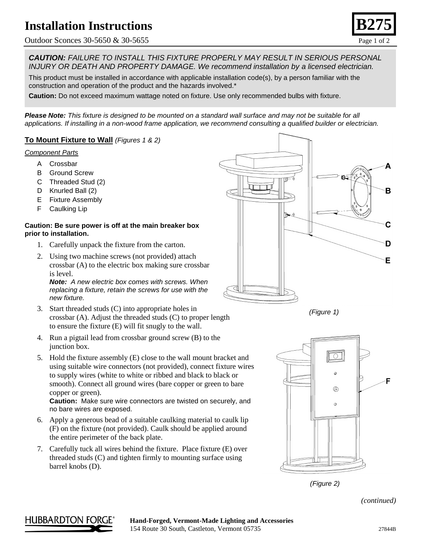# **Installation Instructions**

Outdoor Sconces  $30-5650 \& 30-5655$  Page 1 of 2



*CAUTION: FAILURE TO INSTALL THIS FIXTURE PROPERLY MAY RESULT IN SERIOUS PERSONAL INJURY OR DEATH AND PROPERTY DAMAGE. We recommend installation by a licensed electrician.*

This product must be installed in accordance with applicable installation code(s), by a person familiar with the construction and operation of the product and the hazards involved.\*

**Caution:** Do not exceed maximum wattage noted on fixture. Use only recommended bulbs with fixture.

*Please Note: This fixture is designed to be mounted on a standard wall surface and may not be suitable for all applications. If installing in a non-wood frame application, we recommend consulting a qualified builder or electrician.*

## **To Mount Fixture to Wall** *(Figures 1 & 2)*

### *Component Parts*

- A Crossbar
- B Ground Screw
- C Threaded Stud (2)
- D Knurled Ball (2)
- E Fixture Assembly
- F Caulking Lip

#### **Caution: Be sure power is off at the main breaker box prior to installation.**

- 1. Carefully unpack the fixture from the carton.
- 2. Using two machine screws (not provided) attach crossbar (A) to the electric box making sure crossbar is level.

*Note: A new electric box comes with screws. When replacing a fixture, retain the screws for use with the new fixture.*

- 3. Start threaded studs (C) into appropriate holes in crossbar (A). Adjust the threaded studs (C) to proper length to ensure the fixture (E) will fit snugly to the wall.
- 4. Run a pigtail lead from crossbar ground screw (B) to the junction box.
- 5. Hold the fixture assembly (E) close to the wall mount bracket and using suitable wire connectors (not provided), connect fixture wires to supply wires (white to white or ribbed and black to black or smooth). Connect all ground wires (bare copper or green to bare copper or green).

**Caution:** Make sure wire connectors are twisted on securely, and no bare wires are exposed.

- 6. Apply a generous bead of a suitable caulking material to caulk lip (F) on the fixture (not provided). Caulk should be applied around the entire perimeter of the back plate.
- 7. Carefully tuck all wires behind the fixture. Place fixture (E) over threaded studs (C) and tighten firmly to mounting surface using barrel knobs (D).



*(Figure 1)*



*(Figure 2)*

*(continued)*